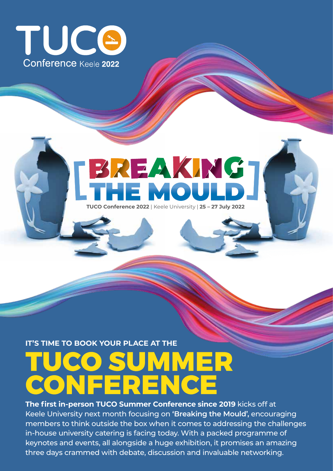

# BREAKING

**TUCO Conference 2022** | Keele University | **25 – 27 July 2022**

IT'S TIME TO BOOK YOUR PLACE AT THE<br>
CONFERENCE

**The first in-person TUCO Summer Conference since 2019** kicks off at Keele University next month focusing on **'Breaking the Mould',** encouraging members to think outside the box when it comes to addressing the challenges in-house university catering is facing today. With a packed programme of keynotes and events, all alongside a huge exhibition, it promises an amazing three days crammed with debate, discussion and invaluable networking.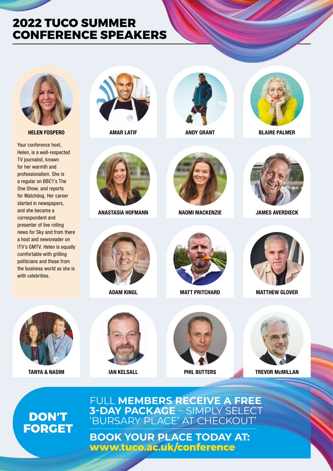## **2022 TUCO SUMMER CONFERENCE SPEAKERS**



**HELEN FOSPERO AMAR LATIF ANDY GRANT BLAIRE PALMER**

Your conference host, Helen, is a well-respected TV journalist, known for her warmth and professionalism. She is a regular on BBC1's The One Show, and reports for Watchdog. Her career started in newspapers, and she became a correspondent and presenter of live rolling news for Sky and from there a host and newsreader on ITV's GMTV. Helen is equally comfortable with grilling politicians and those from the business world as she is with celebrities.









**ANASTASIA HOFMANN NAOMI MACKENZIE JAMES AVERDIECK**









**ADAM KINGL MATT PRITCHARD MATTHEW GLOVER**







**IAN KELSALL PHIL BUTTERS** 



**TANYA & NADIM TREVOR McMILLAN**

# **DON'T**<br>**FORGET**

### FULL **MEMBERS RECEIVE A FREE 3-DAY PACKAGE** – SIMPLY SELECT 'BURSARY PLACE' AT CHECKOUT'

**BOOK YOUR PLACE TODAY AT: www.tuco.ac.uk/conference**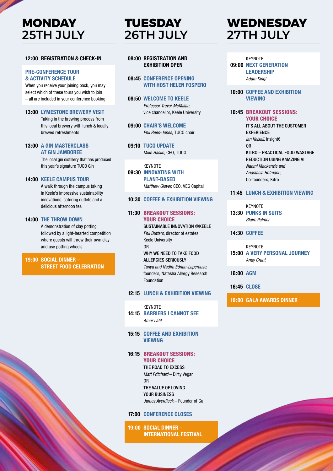# **MONDAY 25TH JULY**

#### **12:00 REGISTRATION & CHECK-IN**

#### **PRE-CONFERENCE TOUR & ACTIVITY SCHEDULE**

When you receive your joining pack, you may select which of these tours you wish to join – all are included in your conference booking.

**13:00 LYMESTONE BREWERY VISIT**

 Taking in the brewing process from this local brewery with lunch & locally brewed refreshments!

#### **13:00 A GIN MASTERCLASS AT GIN JAMBOREE**

 The local gin distillery that has produced this year's signature TUCO Gin

#### **14:00 KEELE CAMPUS TOUR**

 A walk through the campus taking in Keele's impressive sustainability innovations, catering outlets and a delicious afternoon tea

#### **14:00 THE THROW DOWN**

 A demonstration of clay potting followed by a light-hearted competition where guests will throw their own clay and use potting wheels

#### **19:00 SOCIAL DINNER – STREET FOOD CELEBRATION**

# **TUESDAY 26TH JULY**

#### **08:00 REGISTRATION AND EXHIBITION OPEN**

#### **08:45 CONFERENCE OPENING WITH HOST HELEN FOSPERO**

- **08:50 WELCOME TO KEELE** *Professor Trevor McMillan,*  vice chancellor, Keele University
- **09:00 CHAIR'S WELCOME** *Phil Rees-Jones,* TUCO chair
- **09:10 TUCO UPDATE** *Mike Haslin,* CEO, TUCO
- **KEYNOTE 09:30 INNOVATING WITH PLANT-BASED**  *Matthew Glover,* CEO, VEG Capital

#### **10:30 COFFEE & EXHIBITION VIEWING**

#### **11:30** BREAKOUT SESSIONS: YOUR CHOICE

 SUSTAINABLE INNOVATION @KEELE *Phil Butters,* director of estates, Keele University OR WHY WE NEED TO TAKE FOOD ALLERGIES SERIOUSLY *Tanya and Nadim Ednan-Laperouse,* founders, Natasha Allergy Research Foundation

#### **12:15 LUNCH & EXHIBITION VIEWING**

- **KEYNOTE 14:15 BARRIERS I CANNOT SEE** *Amar Latif*
- **15:15 COFFEE AND EXHIBITION VIEWING**

#### **16:15** BREAKOUT SESSIONS: YOUR CHOICE

THE ROAD TO EXCESS *Matt Pritchard* – Dirty Vegan OR THE VALUE OF LOVING YOUR BUSINESS *James Averdieck* – Founder of Gu

#### **17:00 CONFERENCE CLOSES**

**19:00 SOCIAL DINNER – INTERNATIONAL FESTIVAL**

# **WEDNESDAY 27TH JULY**

#### KEYNOTE **09:00 NEXT GENERATION LEADERSHIP** *Adam Kingl*

#### **10:00 COFFEE AND EXHIBITION VIEWING**

#### **10:45** BREAKOUT SESSIONS: YOUR CHOICE

 IT'S ALL ABOUT THE CUSTOMER EXPERIENCE *Ian Kelsall*, Insight6 OR KITRO – PRACTICAL FOOD WASTAGE REDUCTION USING AMAZING AI *Naomi Mackenzie and Anastasia Hofmann,* Co-founders, Kitro

#### **11:45 LUNCH & EXHIBITION VIEWING**

#### **KEYNOTE 13:30 PUNKS IN SUITS**  *Blaire Palmer*

#### **14:30 COFFEE**

#### **KFYNOTF 15:00 A VERY PERSONAL JOURNEY** *Andy Grant*

**16:00 AGM**

**16:45 CLOSE**

**19:00 GALA AWARDS DINNER**